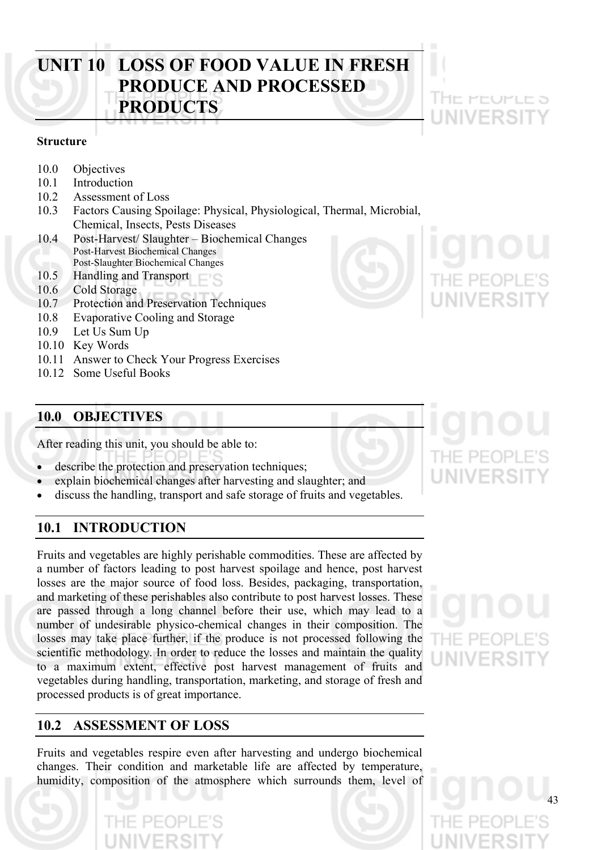# **UNIT 10 LOSS OF FOOD VALUE IN FRESH PRODUCE AND PROCESSED PRODUCTS**

# **Structure**

- 10.0 Objectives
- 10.1 Introduction
- 10.2 Assessment of Loss
- 10.3 Factors Causing Spoilage: Physical, Physiological, Thermal, Microbial, Chemical, Insects, Pests Diseases
- 10.4 Post-Harvest/ Slaughter Biochemical Changes Post-Harvest Biochemical Changes
- Post-Slaughter Biochemical Changes
- 10.5 Handling and Transport
- 10.6 Cold Storage
- 10.7 Protection and Preservation Techniques
- 10.8 Evaporative Cooling and Storage
- 10.9 Let Us Sum Up
- 10.10 Key Words
- 10.11 Answer to Check Your Progress Exercises
- 10.12 Some Useful Books

# **10.0 OBJECTIVES**

After reading this unit, you should be able to:

- describe the protection and preservation techniques;
- explain biochemical changes after harvesting and slaughter; and
- discuss the handling, transport and safe storage of fruits and vegetables.

# **10.1 INTRODUCTION**

Fruits and vegetables are highly perishable commodities. These are affected by a number of factors leading to post harvest spoilage and hence, post harvest losses are the major source of food loss. Besides, packaging, transportation, and marketing of these perishables also contribute to post harvest losses. These are passed through a long channel before their use, which may lead to a number of undesirable physico-chemical changes in their composition. The losses may take place further, if the produce is not processed following the scientific methodology. In order to reduce the losses and maintain the quality to a maximum extent, effective post harvest management of fruits and vegetables during handling, transportation, marketing, and storage of fresh and processed products is of great importance.

# **10.2 ASSESSMENT OF LOSS**

Fruits and vegetables respire even after harvesting and undergo biochemical changes. Their condition and marketable life are affected by temperature, humidity, composition of the atmosphere which surrounds them, level of



i Helienen e S



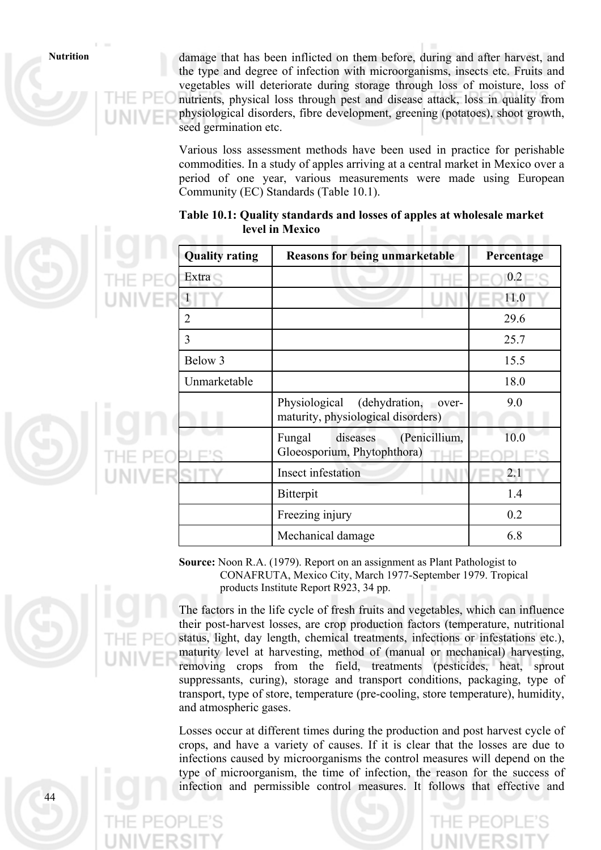**Nutrition** damage that has been inflicted on them before, during and after harvest, and the type and degree of infection with microorganisms, insects etc. Fruits and vegetables will deteriorate during storage through loss of moisture, loss of nutrients, physical loss through pest and disease attack, loss in quality from physiological disorders, fibre development, greening (potatoes), shoot growth, seed germination etc.

> Various loss assessment methods have been used in practice for perishable commodities. In a study of apples arriving at a central market in Mexico over a period of one year, various measurements were made using European Community (EC) Standards (Table 10.1).

|  | <b>Quality rating</b> | <b>Reasons for being unmarketable</b>                                      | Percentage |
|--|-----------------------|----------------------------------------------------------------------------|------------|
|  | Extra                 |                                                                            | 0.2        |
|  | $\mathbf{1}$          |                                                                            | 11.0       |
|  | $\overline{2}$        |                                                                            | 29.6       |
|  | 3                     |                                                                            | 25.7       |
|  | Below 3               |                                                                            | 15.5       |
|  | Unmarketable          |                                                                            | 18.0       |
|  |                       | Physiological<br>(dehydration, over-<br>maturity, physiological disorders) | 9.0        |
|  |                       | (Penicillium,<br>Fungal<br>diseases<br>Gloeosporium, Phytophthora)<br>HE   | 10.0       |
|  |                       | Insect infestation                                                         | 2.1        |
|  |                       | Bitterpit                                                                  | 1.4        |
|  |                       | Freezing injury                                                            | 0.2        |
|  |                       | Mechanical damage                                                          | 6.8        |

# **Table 10.1: Quality standards and losses of apples at wholesale market level in Mexico**

**Source:** Noon R.A. (1979). Report on an assignment as Plant Pathologist to CONAFRUTA, Mexico City, March 1977-September 1979. Tropical products Institute Report R923, 34 pp.



The factors in the life cycle of fresh fruits and vegetables, which can influence their post-harvest losses, are crop production factors (temperature, nutritional status, light, day length, chemical treatments, infections or infestations etc.), maturity level at harvesting, method of (manual or mechanical) harvesting, removing crops from the field, treatments (pesticides, heat, sprout suppressants, curing), storage and transport conditions, packaging, type of transport, type of store, temperature (pre-cooling, store temperature), humidity, and atmospheric gases.

Losses occur at different times during the production and post harvest cycle of crops, and have a variety of causes. If it is clear that the losses are due to infections caused by microorganisms the control measures will depend on the type of microorganism, the time of infection, the reason for the success of infection and permissible control measures. It follows that effective and

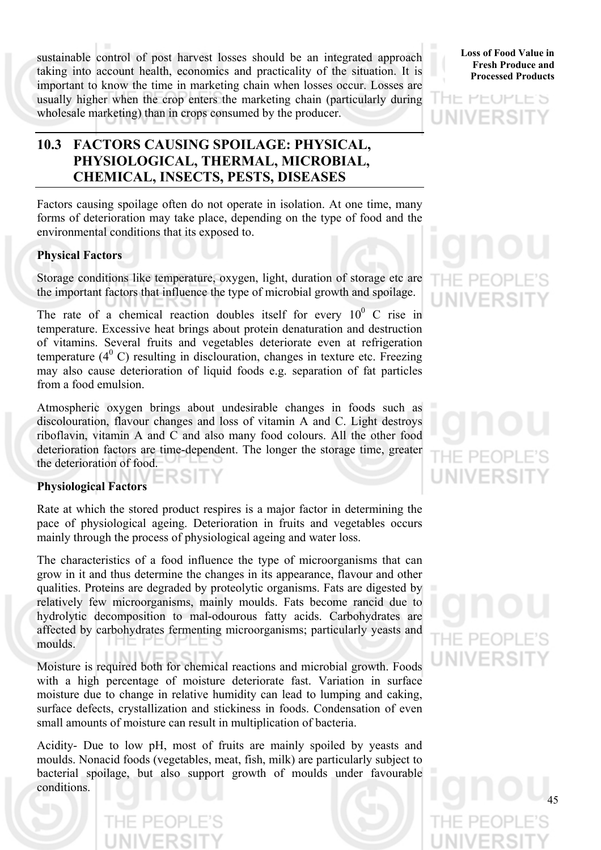sustainable control of post harvest losses should be an integrated approach taking into account health, economics and practicality of the situation. It is important to know the time in marketing chain when losses occur. Losses are usually higher when the crop enters the marketing chain (particularly during wholesale marketing) than in crops consumed by the producer.

# **10.3 FACTORS CAUSING SPOILAGE: PHYSICAL, PHYSIOLOGICAL, THERMAL, MICROBIAL, CHEMICAL, INSECTS, PESTS, DISEASES**

Factors causing spoilage often do not operate in isolation. At one time, many forms of deterioration may take place, depending on the type of food and the environmental conditions that its exposed to.

# **Physical Factors**

Storage conditions like temperature, oxygen, light, duration of storage etc are the important factors that influence the type of microbial growth and spoilage.

The rate of a chemical reaction doubles itself for every  $10^0$  C rise in temperature. Excessive heat brings about protein denaturation and destruction of vitamins. Several fruits and vegetables deteriorate even at refrigeration temperature  $(4^0 C)$  resulting in disclouration, changes in texture etc. Freezing may also cause deterioration of liquid foods e.g. separation of fat particles from a food emulsion.

Atmospheric oxygen brings about undesirable changes in foods such as discolouration, flavour changes and loss of vitamin A and C. Light destroys riboflavin, vitamin A and C and also many food colours. All the other food deterioration factors are time-dependent. The longer the storage time, greater the deterioration of food.

# **Physiological Factors**

Rate at which the stored product respires is a major factor in determining the pace of physiological ageing. Deterioration in fruits and vegetables occurs mainly through the process of physiological ageing and water loss.

The characteristics of a food influence the type of microorganisms that can grow in it and thus determine the changes in its appearance, flavour and other qualities. Proteins are degraded by proteolytic organisms. Fats are digested by relatively few microorganisms, mainly moulds. Fats become rancid due to hydrolytic decomposition to mal-odourous fatty acids. Carbohydrates are affected by carbohydrates fermenting microorganisms; particularly yeasts and moulds.

Moisture is required both for chemical reactions and microbial growth. Foods with a high percentage of moisture deteriorate fast. Variation in surface moisture due to change in relative humidity can lead to lumping and caking, surface defects, crystallization and stickiness in foods. Condensation of even small amounts of moisture can result in multiplication of bacteria.

Acidity- Due to low pH, most of fruits are mainly spoiled by yeasts and moulds. Nonacid foods (vegetables, meat, fish, milk) are particularly subject to bacterial spoilage, but also support growth of moulds under favourable conditions.



IF FFUFLF S UNIVERSI

# E PEOI

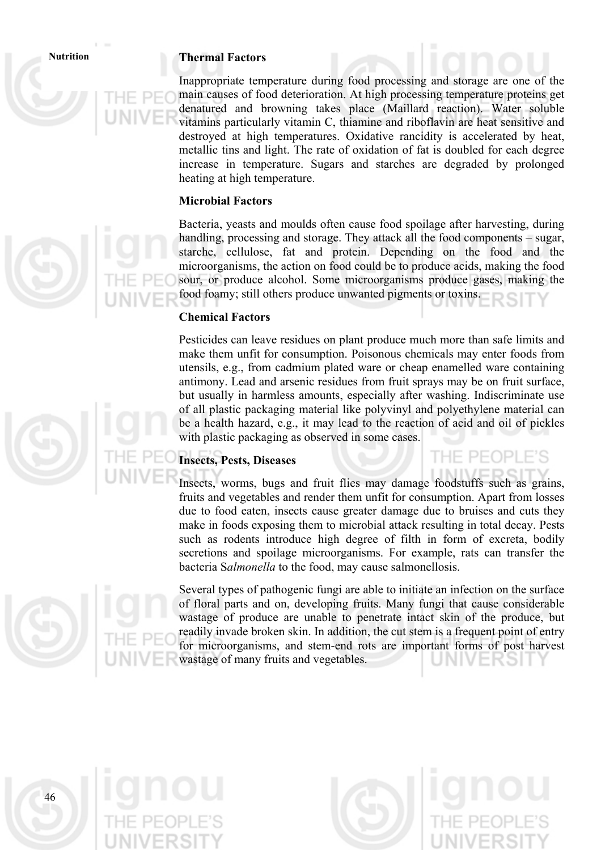# **Nutrition Thermal Factors**

Inappropriate temperature during food processing and storage are one of the main causes of food deterioration. At high processing temperature proteins get denatured and browning takes place (Maillard reaction). Water soluble vitamins particularly vitamin C, thiamine and riboflavin are heat sensitive and destroyed at high temperatures. Oxidative rancidity is accelerated by heat, metallic tins and light. The rate of oxidation of fat is doubled for each degree increase in temperature. Sugars and starches are degraded by prolonged heating at high temperature.

# **Microbial Factors**

Bacteria, yeasts and moulds often cause food spoilage after harvesting, during handling, processing and storage. They attack all the food components – sugar, starche, cellulose, fat and protein. Depending on the food and the microorganisms, the action on food could be to produce acids, making the food sour, or produce alcohol. Some microorganisms produce gases, making the food foamy; still others produce unwanted pigments or toxins.

# **Chemical Factors**

Pesticides can leave residues on plant produce much more than safe limits and make them unfit for consumption. Poisonous chemicals may enter foods from utensils, e.g., from cadmium plated ware or cheap enamelled ware containing antimony. Lead and arsenic residues from fruit sprays may be on fruit surface, but usually in harmless amounts, especially after washing. Indiscriminate use of all plastic packaging material like polyvinyl and polyethylene material can be a health hazard, e.g., it may lead to the reaction of acid and oil of pickles with plastic packaging as observed in some cases.

# **Insects, Pests, Diseases**

Insects, worms, bugs and fruit flies may damage foodstuffs such as grains, fruits and vegetables and render them unfit for consumption. Apart from losses due to food eaten, insects cause greater damage due to bruises and cuts they make in foods exposing them to microbial attack resulting in total decay. Pests such as rodents introduce high degree of filth in form of excreta, bodily secretions and spoilage microorganisms. For example, rats can transfer the bacteria S*almonella* to the food, may cause salmonellosis.

Several types of pathogenic fungi are able to initiate an infection on the surface of floral parts and on, developing fruits. Many fungi that cause considerable wastage of produce are unable to penetrate intact skin of the produce, but readily invade broken skin. In addition, the cut stem is a frequent point of entry for microorganisms, and stem-end rots are important forms of post harvest wastage of many fruits and vegetables.

46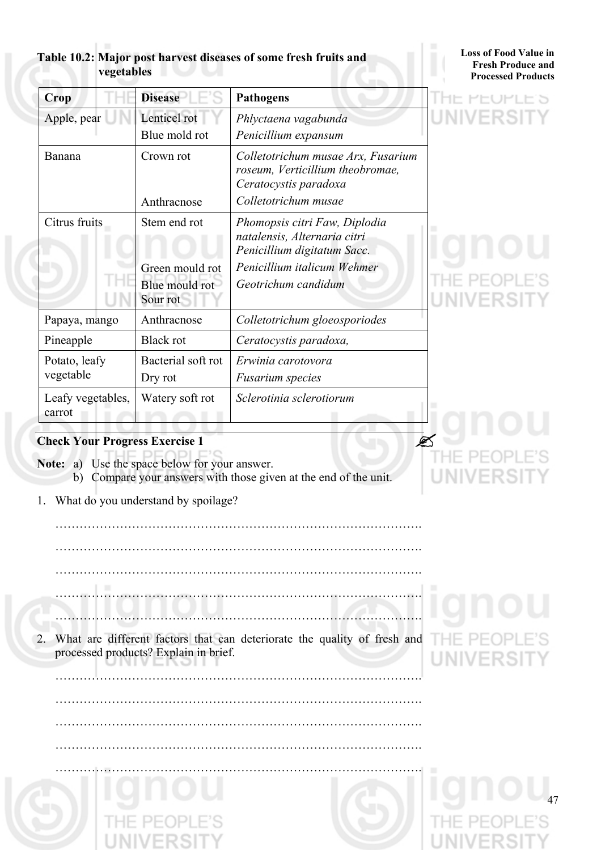# **Table 10.2: Major post harvest diseases of some fresh fruits and vegetables**

# **Loss of Food Value in Fresh Produce and Processed Products**

IE FEUFLE S

| Crop                        | <b>Disease</b>                                | <b>Pathogens</b>                                                                                                        |  |
|-----------------------------|-----------------------------------------------|-------------------------------------------------------------------------------------------------------------------------|--|
| Apple, pear                 | Lenticel rot<br>Blue mold rot                 | Phlyctaena vagabunda<br>Penicillium expansum                                                                            |  |
| Banana                      | Crown rot<br>Anthracnose                      | Colletotrichum musae Arx, Fusarium<br>roseum, Verticillium theobromae,<br>Ceratocystis paradoxa<br>Colletotrichum musae |  |
| Citrus fruits               | Stem end rot                                  | Phomopsis citri Faw, Diplodia<br>natalensis, Alternaria citri<br>Penicillium digitatum Sacc.                            |  |
|                             | Green mould rot<br>Blue mould rot<br>Sour rot | Penicillium italicum Wehmer<br>Geotrichum candidum                                                                      |  |
| Papaya, mango               | Anthracnose                                   | Colletotrichum gloeosporiodes                                                                                           |  |
| Pineapple                   | <b>Black rot</b>                              | Ceratocystis paradoxa,                                                                                                  |  |
| Potato, leafy<br>vegetable  | Bacterial soft rot<br>Dry rot                 | Erwinia carotovora<br><b>Fusarium</b> species                                                                           |  |
| Leafy vegetables,<br>carrot | Watery soft rot                               | Sclerotinia sclerotiorum                                                                                                |  |

# **Check Your Progress Exercise 1**

**Note:** a) Use the space below for your answer.

b) Compare your answers with those given at the end of the unit.

……………………………………………………………………………….

……………………………………………………………………………….

1. What do you understand by spoilage?

 ………………………………………………………………………………. ………………………………………………………………………………. ………………………………………………………………………………. 2. What are different factors that can deteriorate the quality of fresh and processed products? Explain in brief.

……………………………………………………………………………….

……………………………………………………………………………….

……………………………………………………………………………….

……………………………………………………………………………….

# UN.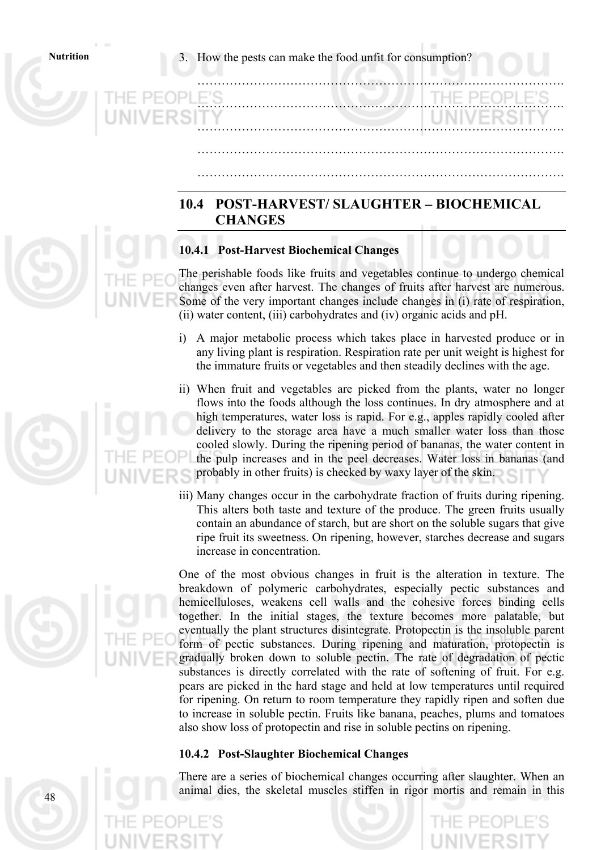**Nutrition** 3. How the pests can make the food unfit for consumption?

# **10.4 POST-HARVEST/ SLAUGHTER – BIOCHEMICAL CHANGES**

……………………………………………………………………………….

……………………………………………………………………………….

……………………………………………………………………………….

……………………………………………………………………………….

……………………………………………………………………………….

# **10.4.1 Post-Harvest Biochemical Changes**

The perishable foods like fruits and vegetables continue to undergo chemical changes even after harvest. The changes of fruits after harvest are numerous. Some of the very important changes include changes in (i) rate of respiration, (ii) water content, (iii) carbohydrates and (iv) organic acids and pH.

- i) A major metabolic process which takes place in harvested produce or in any living plant is respiration. Respiration rate per unit weight is highest for the immature fruits or vegetables and then steadily declines with the age.
- ii) When fruit and vegetables are picked from the plants, water no longer flows into the foods although the loss continues. In dry atmosphere and at high temperatures, water loss is rapid. For e.g., apples rapidly cooled after delivery to the storage area have a much smaller water loss than those cooled slowly. During the ripening period of bananas, the water content in the pulp increases and in the peel decreases. Water loss in bananas (and probably in other fruits) is checked by waxy layer of the skin.
- iii) Many changes occur in the carbohydrate fraction of fruits during ripening. This alters both taste and texture of the produce. The green fruits usually contain an abundance of starch, but are short on the soluble sugars that give ripe fruit its sweetness. On ripening, however, starches decrease and sugars increase in concentration.

One of the most obvious changes in fruit is the alteration in texture. The breakdown of polymeric carbohydrates, especially pectic substances and hemicelluloses, weakens cell walls and the cohesive forces binding cells together. In the initial stages, the texture becomes more palatable, but eventually the plant structures disintegrate. Protopectin is the insoluble parent form of pectic substances. During ripening and maturation, protopectin is gradually broken down to soluble pectin. The rate of degradation of pectic substances is directly correlated with the rate of softening of fruit. For e.g. pears are picked in the hard stage and held at low temperatures until required for ripening. On return to room temperature they rapidly ripen and soften due to increase in soluble pectin. Fruits like banana, peaches, plums and tomatoes also show loss of protopectin and rise in soluble pectins on ripening.

# **10.4.2 Post-Slaughter Biochemical Changes**

There are a series of biochemical changes occurring after slaughter. When an animal dies, the skeletal muscles stiffen in rigor mortis and remain in this



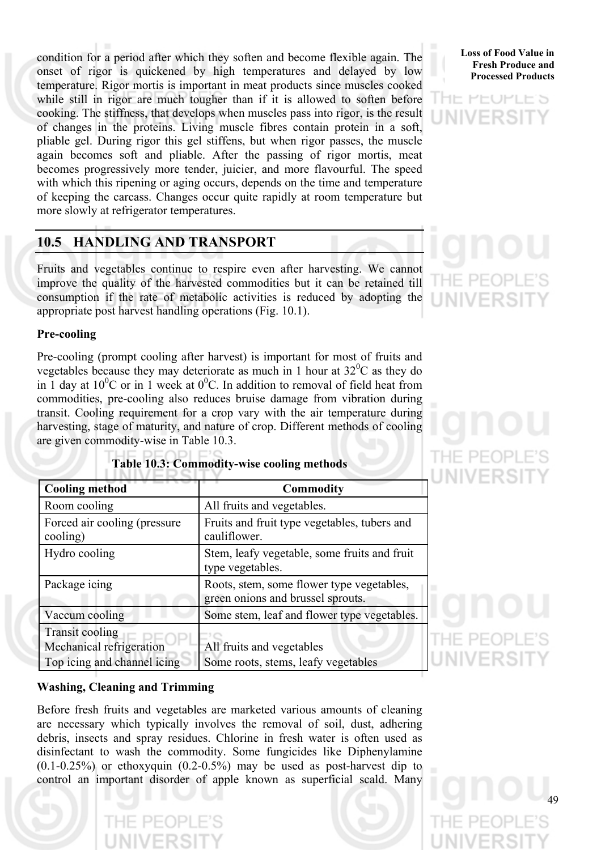condition for a period after which they soften and become flexible again. The onset of rigor is quickened by high temperatures and delayed by low temperature. Rigor mortis is important in meat products since muscles cooked while still in rigor are much tougher than if it is allowed to soften before cooking. The stiffness, that develops when muscles pass into rigor, is the result of changes in the proteins. Living muscle fibres contain protein in a soft, pliable gel. During rigor this gel stiffens, but when rigor passes, the muscle again becomes soft and pliable. After the passing of rigor mortis, meat becomes progressively more tender, juicier, and more flavourful. The speed with which this ripening or aging occurs, depends on the time and temperature of keeping the carcass. Changes occur quite rapidly at room temperature but more slowly at refrigerator temperatures.

# **10.5 HANDLING AND TRANSPORT**

Fruits and vegetables continue to respire even after harvesting. We cannot improve the quality of the harvested commodities but it can be retained till consumption if the rate of metabolic activities is reduced by adopting the appropriate post harvest handling operations (Fig. 10.1).

# **Pre-cooling**

Pre-cooling (prompt cooling after harvest) is important for most of fruits and vegetables because they may deteriorate as much in 1 hour at  $32^{\circ}$ C as they do in 1 day at  $10^{0}$ C or in 1 week at  $0^{0}$ C. In addition to removal of field heat from commodities, pre-cooling also reduces bruise damage from vibration during transit. Cooling requirement for a crop vary with the air temperature during harvesting, stage of maturity, and nature of crop. Different methods of cooling are given commodity-wise in Table 10.3.

| <b>Cooling method</b>                                                             | <b>Commodity</b>                                                               |
|-----------------------------------------------------------------------------------|--------------------------------------------------------------------------------|
| Room cooling                                                                      | All fruits and vegetables.                                                     |
| Forced air cooling (pressure<br>cooling)                                          | Fruits and fruit type vegetables, tubers and<br>cauliflower.                   |
| Hydro cooling                                                                     | Stem, leafy vegetable, some fruits and fruit<br>type vegetables.               |
| Package icing                                                                     | Roots, stem, some flower type vegetables,<br>green onions and brussel sprouts. |
| Vaccum cooling                                                                    | Some stem, leaf and flower type vegetables.                                    |
| <b>Transit cooling</b><br>Mechanical refrigeration<br>Top icing and channel icing | All fruits and vegetables<br>Some roots, stems, leafy vegetables               |

# **Table 10.3: Commodity-wise cooling methods**

# **Washing, Cleaning and Trimming**

Before fresh fruits and vegetables are marketed various amounts of cleaning are necessary which typically involves the removal of soil, dust, adhering debris, insects and spray residues. Chlorine in fresh water is often used as disinfectant to wash the commodity. Some fungicides like Diphenylamine  $(0.1-0.25\%)$  or ethoxyquin  $(0.2-0.5\%)$  may be used as post-harvest dip to control an important disorder of apple known as superficial scald. Many

**Loss of Food Value in Fresh Produce and Processed Products**

アローン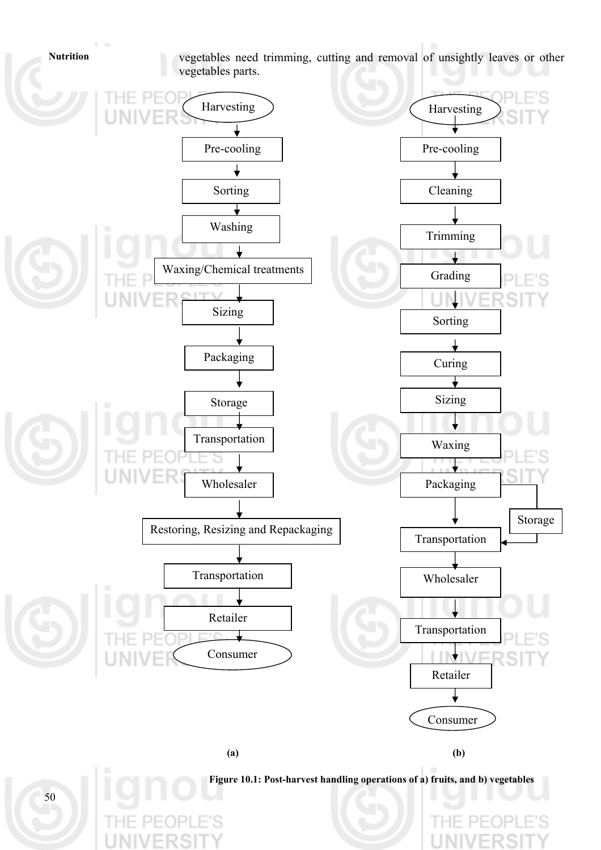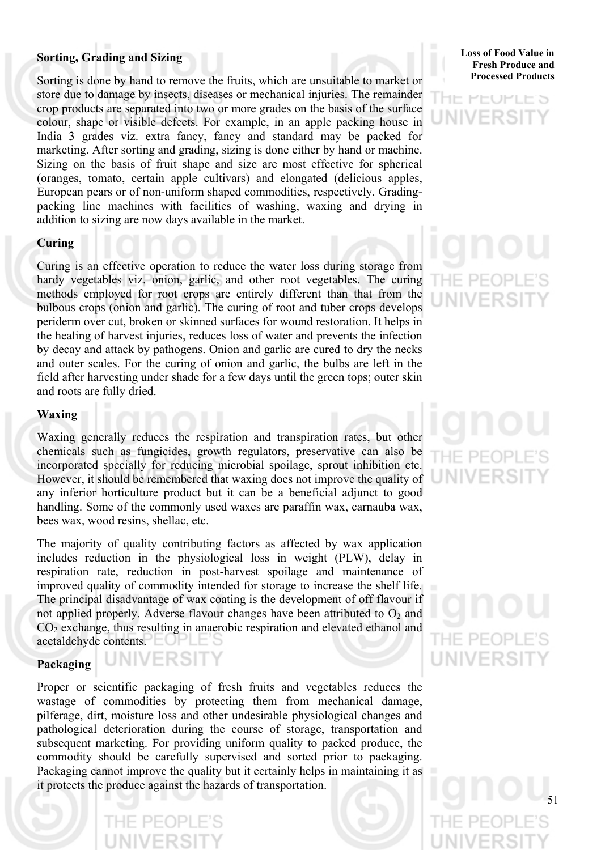# **Sorting, Grading and Sizing**

Sorting is done by hand to remove the fruits, which are unsuitable to market or store due to damage by insects, diseases or mechanical injuries. The remainder crop products are separated into two or more grades on the basis of the surface colour, shape or visible defects. For example, in an apple packing house in India 3 grades viz. extra fancy, fancy and standard may be packed for marketing. After sorting and grading, sizing is done either by hand or machine. Sizing on the basis of fruit shape and size are most effective for spherical (oranges, tomato, certain apple cultivars) and elongated (delicious apples, European pears or of non-uniform shaped commodities, respectively. Gradingpacking line machines with facilities of washing, waxing and drying in addition to sizing are now days available in the market.

# **Curing**

Curing is an effective operation to reduce the water loss during storage from hardy vegetables viz. onion, garlic, and other root vegetables. The curing methods employed for root crops are entirely different than that from the bulbous crops (onion and garlic). The curing of root and tuber crops develops periderm over cut, broken or skinned surfaces for wound restoration. It helps in the healing of harvest injuries, reduces loss of water and prevents the infection by decay and attack by pathogens. Onion and garlic are cured to dry the necks and outer scales. For the curing of onion and garlic, the bulbs are left in the field after harvesting under shade for a few days until the green tops; outer skin and roots are fully dried.

# **Waxing**

Waxing generally reduces the respiration and transpiration rates, but other chemicals such as fungicides, growth regulators, preservative can also be incorporated specially for reducing microbial spoilage, sprout inhibition etc. However, it should be remembered that waxing does not improve the quality of any inferior horticulture product but it can be a beneficial adjunct to good handling. Some of the commonly used waxes are paraffin wax, carnauba wax, bees wax, wood resins, shellac, etc.

The majority of quality contributing factors as affected by wax application includes reduction in the physiological loss in weight (PLW), delay in respiration rate, reduction in post-harvest spoilage and maintenance of improved quality of commodity intended for storage to increase the shelf life. The principal disadvantage of wax coating is the development of off flavour if not applied properly. Adverse flavour changes have been attributed to  $O<sub>2</sub>$  and  $CO<sub>2</sub>$  exchange, thus resulting in anaerobic respiration and elevated ethanol and acetaldehyde contents.  $\Box$ 

**INIVERSIT** 

# **Packaging**

Proper or scientific packaging of fresh fruits and vegetables reduces the wastage of commodities by protecting them from mechanical damage, pilferage, dirt, moisture loss and other undesirable physiological changes and pathological deterioration during the course of storage, transportation and subsequent marketing. For providing uniform quality to packed produce, the commodity should be carefully supervised and sorted prior to packaging. Packaging cannot improve the quality but it certainly helps in maintaining it as it protects the produce against the hazards of transportation.

**Loss of Food Value in Fresh Produce and Processed Products**

# HE PEOPLE'S INIVERS

# F PF(

# $-H = PLO$ UNIVERS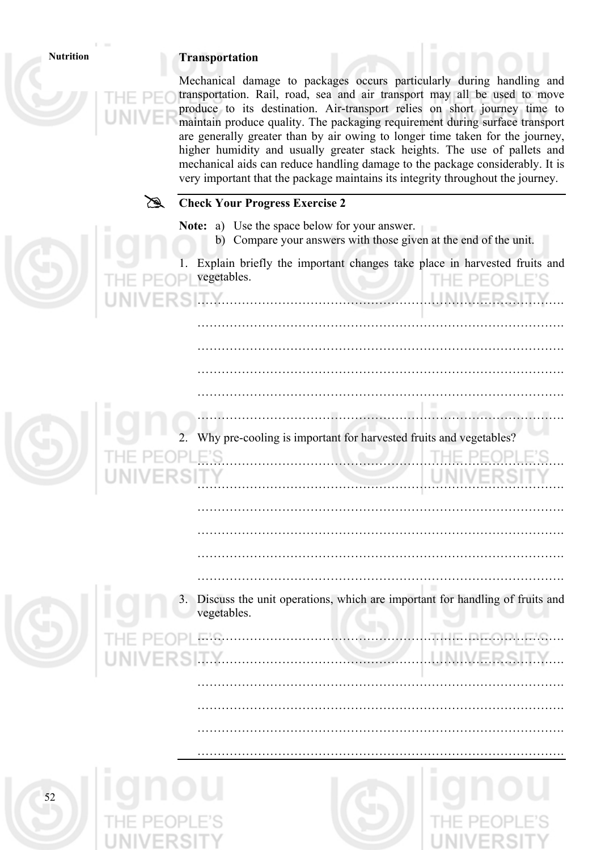# **Nutrition Transportation**

|    | Mechanical damage to packages occurs particularly during handling and<br>transportation. Rail, road, sea and air transport may all be used to move<br>produce to its destination. Air-transport relies on short journey time to<br>maintain produce quality. The packaging requirement during surface transport<br>are generally greater than by air owing to longer time taken for the journey,<br>higher humidity and usually greater stack heights. The use of pallets and<br>mechanical aids can reduce handling damage to the package considerably. It is<br>very important that the package maintains its integrity throughout the journey. |
|----|---------------------------------------------------------------------------------------------------------------------------------------------------------------------------------------------------------------------------------------------------------------------------------------------------------------------------------------------------------------------------------------------------------------------------------------------------------------------------------------------------------------------------------------------------------------------------------------------------------------------------------------------------|
|    | <b>Check Your Progress Exercise 2</b>                                                                                                                                                                                                                                                                                                                                                                                                                                                                                                                                                                                                             |
|    | <b>Note:</b> a) Use the space below for your answer.<br>b) Compare your answers with those given at the end of the unit.                                                                                                                                                                                                                                                                                                                                                                                                                                                                                                                          |
|    | Explain briefly the important changes take place in harvested fruits and<br>vegetables.                                                                                                                                                                                                                                                                                                                                                                                                                                                                                                                                                           |
|    |                                                                                                                                                                                                                                                                                                                                                                                                                                                                                                                                                                                                                                                   |
|    |                                                                                                                                                                                                                                                                                                                                                                                                                                                                                                                                                                                                                                                   |
|    |                                                                                                                                                                                                                                                                                                                                                                                                                                                                                                                                                                                                                                                   |
|    | Why pre-cooling is important for harvested fruits and vegetables?                                                                                                                                                                                                                                                                                                                                                                                                                                                                                                                                                                                 |
|    |                                                                                                                                                                                                                                                                                                                                                                                                                                                                                                                                                                                                                                                   |
|    |                                                                                                                                                                                                                                                                                                                                                                                                                                                                                                                                                                                                                                                   |
|    |                                                                                                                                                                                                                                                                                                                                                                                                                                                                                                                                                                                                                                                   |
|    | Discuss the unit operations, which are important for handling of fruits and<br>vegetables.                                                                                                                                                                                                                                                                                                                                                                                                                                                                                                                                                        |
|    |                                                                                                                                                                                                                                                                                                                                                                                                                                                                                                                                                                                                                                                   |
|    |                                                                                                                                                                                                                                                                                                                                                                                                                                                                                                                                                                                                                                                   |
|    |                                                                                                                                                                                                                                                                                                                                                                                                                                                                                                                                                                                                                                                   |
|    |                                                                                                                                                                                                                                                                                                                                                                                                                                                                                                                                                                                                                                                   |
|    |                                                                                                                                                                                                                                                                                                                                                                                                                                                                                                                                                                                                                                                   |
| 52 |                                                                                                                                                                                                                                                                                                                                                                                                                                                                                                                                                                                                                                                   |
|    |                                                                                                                                                                                                                                                                                                                                                                                                                                                                                                                                                                                                                                                   |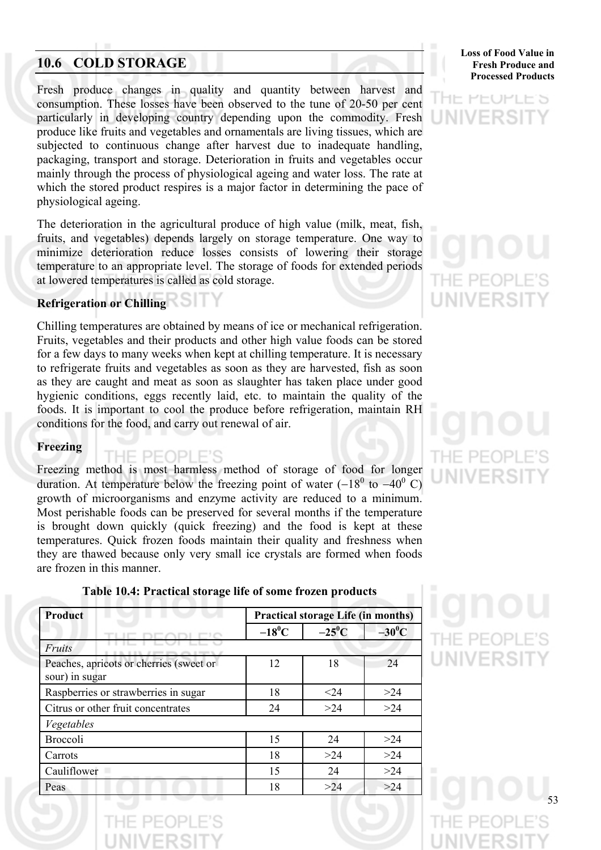# **10.6 COLD STORAGE**

Fresh produce changes in quality and quantity between harvest and consumption. These losses have been observed to the tune of 20-50 per cent particularly in developing country depending upon the commodity. Fresh produce like fruits and vegetables and ornamentals are living tissues, which are subjected to continuous change after harvest due to inadequate handling, packaging, transport and storage. Deterioration in fruits and vegetables occur mainly through the process of physiological ageing and water loss. The rate at which the stored product respires is a major factor in determining the pace of physiological ageing.

The deterioration in the agricultural produce of high value (milk, meat, fish, fruits, and vegetables) depends largely on storage temperature. One way to minimize deterioration reduce losses consists of lowering their storage temperature to an appropriate level. The storage of foods for extended periods at lowered temperatures is called as cold storage.

# **Refrigeration or Chilling**

Chilling temperatures are obtained by means of ice or mechanical refrigeration. Fruits, vegetables and their products and other high value foods can be stored for a few days to many weeks when kept at chilling temperature. It is necessary to refrigerate fruits and vegetables as soon as they are harvested, fish as soon as they are caught and meat as soon as slaughter has taken place under good hygienic conditions, eggs recently laid, etc. to maintain the quality of the foods. It is important to cool the produce before refrigeration, maintain RH conditions for the food, and carry out renewal of air.

# **Freezing**

# THE PEOPLE'S

Freezing method is most harmless method of storage of food for longer duration. At temperature below the freezing point of water  $(-18^0$  to  $-40^0$  C) growth of microorganisms and enzyme activity are reduced to a minimum. Most perishable foods can be preserved for several months if the temperature is brought down quickly (quick freezing) and the food is kept at these temperatures. Quick frozen foods maintain their quality and freshness when they are thawed because only very small ice crystals are formed when foods are frozen in this manner.



**Loss of Food Value in Fresh Produce and Processed Products**

# HE PEOPLE'S UNIVERSI

# THE PEOP **UNIVERSIT**

THE PEOP UNIVERSI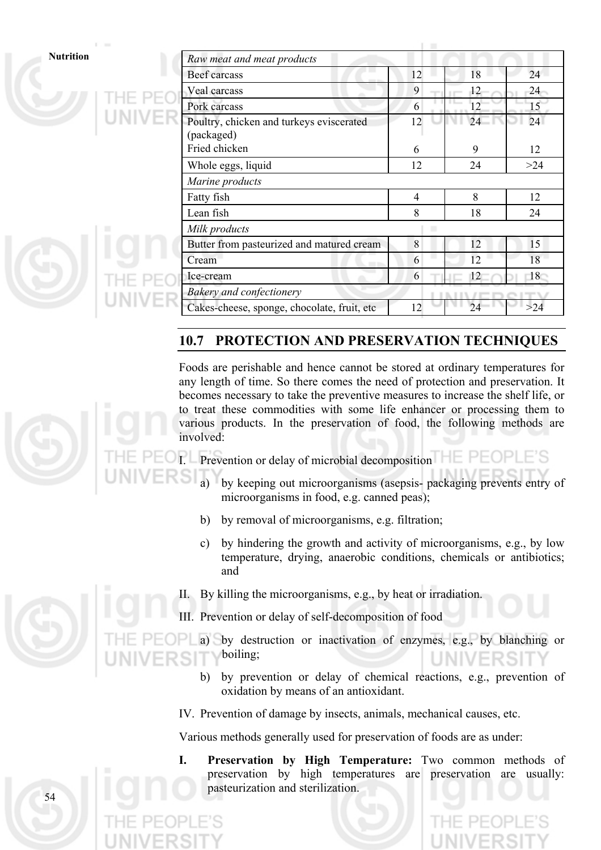|  | Nutrition |  |  |
|--|-----------|--|--|
|  |           |  |  |

| <b>Nutrition</b> | Raw meat and meat products                             |                |    |       |  |
|------------------|--------------------------------------------------------|----------------|----|-------|--|
|                  | Beef carcass                                           | 12             | 18 | 24    |  |
|                  | Veal carcass                                           | 9              | 12 | 24    |  |
|                  | Pork carcass                                           | 6              | 12 | 15    |  |
|                  | Poultry, chicken and turkeys eviscerated<br>(packaged) | 12             | 24 | 24    |  |
|                  | Fried chicken                                          | 6              | 9  | 12    |  |
|                  | Whole eggs, liquid                                     | 12             | 24 | >24   |  |
|                  | Marine products                                        |                |    |       |  |
|                  | Fatty fish                                             | $\overline{4}$ | 8  | 12    |  |
|                  | Lean fish                                              | 8              | 18 | 24    |  |
|                  | Milk products                                          |                |    |       |  |
|                  | Butter from pasteurized and matured cream              | 8              | 12 | 15    |  |
|                  | Cream                                                  | 6              | 12 | 18    |  |
|                  | Ice-cream                                              | 6              | 12 | 18    |  |
|                  | Bakery and confectionery                               |                |    |       |  |
|                  | Cakes-cheese, sponge, chocolate, fruit, etc            | 12             | 24 | $>24$ |  |

# **10.7 PROTECTION AND PRESERVATION TECHNIQUES**

Foods are perishable and hence cannot be stored at ordinary temperatures for any length of time. So there comes the need of protection and preservation. It becomes necessary to take the preventive measures to increase the shelf life, or to treat these commodities with some life enhancer or processing them to various products. In the preservation of food, the following methods are involved:

- Prevention or delay of microbial decomposition
	- by keeping out microorganisms (asepsis- packaging prevents entry of microorganisms in food, e.g. canned peas);
	- b) by removal of microorganisms, e.g. filtration;
	- c) by hindering the growth and activity of microorganisms, e.g., by low temperature, drying, anaerobic conditions, chemicals or antibiotics; and
	- II. By killing the microorganisms, e.g., by heat or irradiation.
	- Prevention or delay of self-decomposition of food

a) by destruction or inactivation of enzymes, e.g., by blanching or boiling;

- b) by prevention or delay of chemical reactions, e.g., prevention of oxidation by means of an antioxidant.
- IV. Prevention of damage by insects, animals, mechanical causes, etc.

Various methods generally used for preservation of foods are as under:

**I. Preservation by High Temperature:** Two common methods of preservation by high temperatures are preservation are usually: pasteurization and sterilization.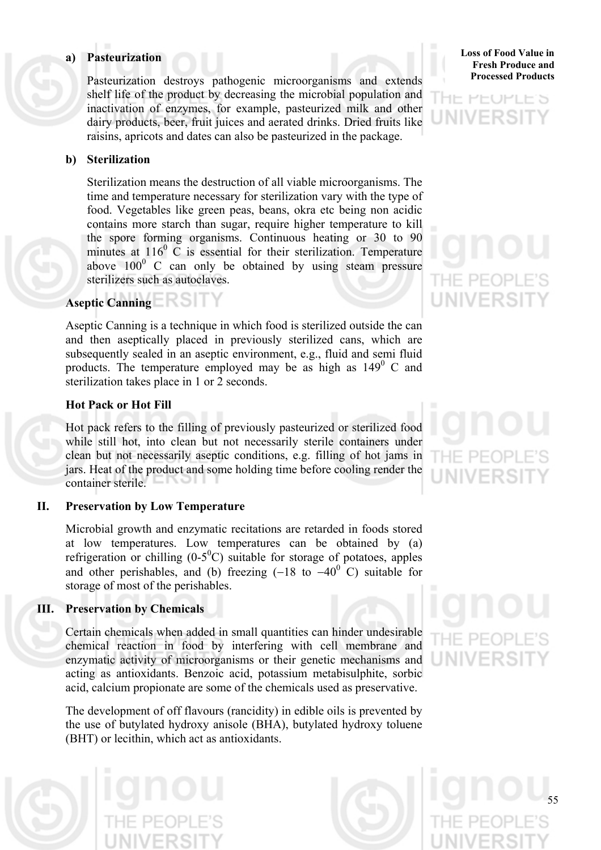# **a) Pasteurization**

Pasteurization destroys pathogenic microorganisms and extends shelf life of the product by decreasing the microbial population and inactivation of enzymes, for example, pasteurized milk and other dairy products, beer, fruit juices and aerated drinks. Dried fruits like raisins, apricots and dates can also be pasteurized in the package.

# **b) Sterilization**

 Sterilization means the destruction of all viable microorganisms. The time and temperature necessary for sterilization vary with the type of food. Vegetables like green peas, beans, okra etc being non acidic contains more starch than sugar, require higher temperature to kill the spore forming organisms. Continuous heating or 30 to 90 minutes at  $116^{\circ}$  C is essential for their sterilization. Temperature above  $100^{\circ}$  C can only be obtained by using steam pressure sterilizers such as autoclaves.

# **Aseptic Canning**

 Aseptic Canning is a technique in which food is sterilized outside the can and then aseptically placed in previously sterilized cans, which are subsequently sealed in an aseptic environment, e.g., fluid and semi fluid products. The temperature employed may be as high as  $149^\circ$  C and sterilization takes place in 1 or 2 seconds.

# **Hot Pack or Hot Fill**

 Hot pack refers to the filling of previously pasteurized or sterilized food while still hot, into clean but not necessarily sterile containers under clean but not necessarily aseptic conditions, e.g. filling of hot jams in jars. Heat of the product and some holding time before cooling render the container sterile.

# **II. Preservation by Low Temperature**

 Microbial growth and enzymatic recitations are retarded in foods stored at low temperatures. Low temperatures can be obtained by (a) refrigeration or chilling  $(0-5^0C)$  suitable for storage of potatoes, apples and other perishables, and (b) freezing  $(-18 \text{ to } -40^{\circ} \text{ C})$  suitable for storage of most of the perishables.

# **III. Preservation by Chemicals**

 Certain chemicals when added in small quantities can hinder undesirable chemical reaction in food by interfering with cell membrane and enzymatic activity of microorganisms or their genetic mechanisms and acting as antioxidants. Benzoic acid, potassium metabisulphite, sorbic acid, calcium propionate are some of the chemicals used as preservative.

 The development of off flavours (rancidity) in edible oils is prevented by the use of butylated hydroxy anisole (BHA), butylated hydroxy toluene (BHT) or lecithin, which act as antioxidants.

**Loss of Food Value in Fresh Produce and Processed Products**

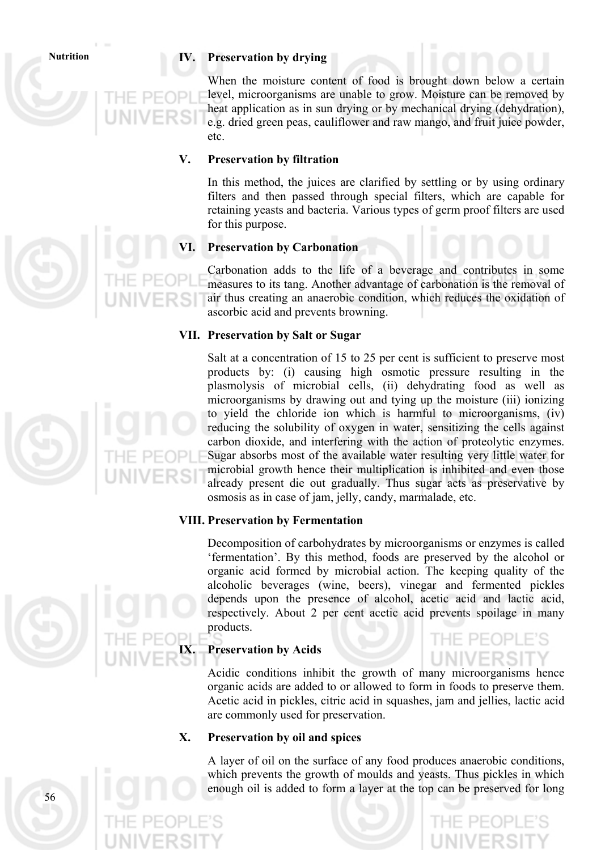# **Nutrition IV. Preservation by drying**

 When the moisture content of food is brought down below a certain level, microorganisms are unable to grow. Moisture can be removed by heat application as in sun drying or by mechanical drying (dehydration), e.g. dried green peas, cauliflower and raw mango, and fruit juice powder, etc.

# **V. Preservation by filtration**

 In this method, the juices are clarified by settling or by using ordinary filters and then passed through special filters, which are capable for retaining yeasts and bacteria. Various types of germ proof filters are used for this purpose.

# **Preservation by Carbonation**

 Carbonation adds to the life of a beverage and contributes in some measures to its tang. Another advantage of carbonation is the removal of air thus creating an anaerobic condition, which reduces the oxidation of ascorbic acid and prevents browning.

# **VII. Preservation by Salt or Sugar**

 Salt at a concentration of 15 to 25 per cent is sufficient to preserve most products by: (i) causing high osmotic pressure resulting in the plasmolysis of microbial cells, (ii) dehydrating food as well as microorganisms by drawing out and tying up the moisture (iii) ionizing to yield the chloride ion which is harmful to microorganisms, (iv) reducing the solubility of oxygen in water, sensitizing the cells against carbon dioxide, and interfering with the action of proteolytic enzymes. Sugar absorbs most of the available water resulting very little water for microbial growth hence their multiplication is inhibited and even those already present die out gradually. Thus sugar acts as preservative by osmosis as in case of jam, jelly, candy, marmalade, etc.

# **VIII. Preservation by Fermentation**

 Decomposition of carbohydrates by microorganisms or enzymes is called 'fermentation'. By this method, foods are preserved by the alcohol or organic acid formed by microbial action. The keeping quality of the alcoholic beverages (wine, beers), vinegar and fermented pickles depends upon the presence of alcohol, acetic acid and lactic acid, respectively. About 2 per cent acetic acid prevents spoilage in many products.

# **Preservation by Acids**

 Acidic conditions inhibit the growth of many microorganisms hence organic acids are added to or allowed to form in foods to preserve them. Acetic acid in pickles, citric acid in squashes, jam and jellies, lactic acid are commonly used for preservation.

# **X. Preservation by oil and spices**

 A layer of oil on the surface of any food produces anaerobic conditions, which prevents the growth of moulds and yeasts. Thus pickles in which enough oil is added to form a layer at the top can be preserved for long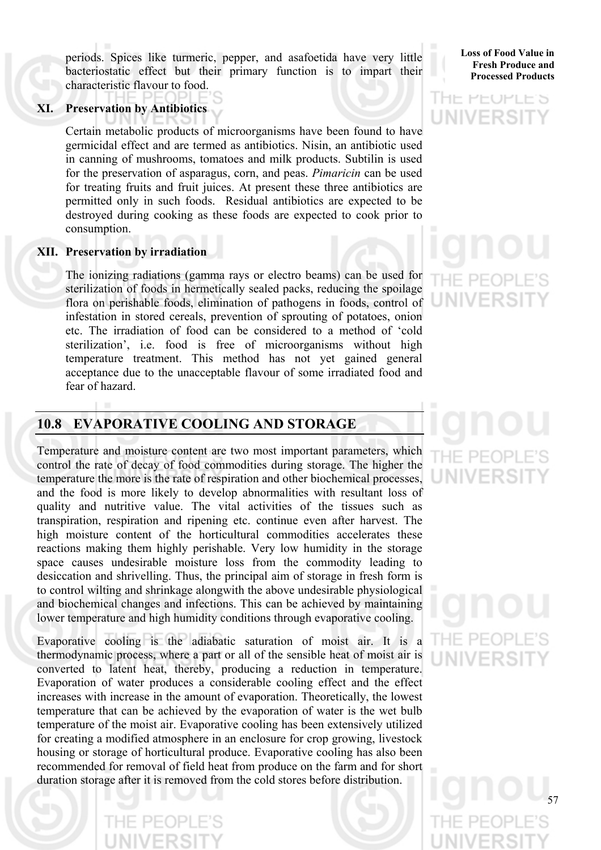periods. Spices like turmeric, pepper, and asafoetida have very little bacteriostatic effect but their primary function is to impart their characteristic flavour to food.

# **XI. Preservation by Antibiotics**

 Certain metabolic products of microorganisms have been found to have germicidal effect and are termed as antibiotics. Nisin, an antibiotic used in canning of mushrooms, tomatoes and milk products. Subtilin is used for the preservation of asparagus, corn, and peas. *Pimaricin* can be used for treating fruits and fruit juices. At present these three antibiotics are permitted only in such foods. Residual antibiotics are expected to be destroyed during cooking as these foods are expected to cook prior to consumption.

# **XII. Preservation by irradiation**

 The ionizing radiations (gamma rays or electro beams) can be used for sterilization of foods in hermetically sealed packs, reducing the spoilage flora on perishable foods, elimination of pathogens in foods, control of infestation in stored cereals, prevention of sprouting of potatoes, onion etc. The irradiation of food can be considered to a method of 'cold sterilization', i.e. food is free of microorganisms without high temperature treatment. This method has not yet gained general acceptance due to the unacceptable flavour of some irradiated food and fear of hazard.

# **10.8 EVAPORATIVE COOLING AND STORAGE**

Temperature and moisture content are two most important parameters, which control the rate of decay of food commodities during storage. The higher the temperature the more is the rate of respiration and other biochemical processes, and the food is more likely to develop abnormalities with resultant loss of quality and nutritive value. The vital activities of the tissues such as transpiration, respiration and ripening etc. continue even after harvest. The high moisture content of the horticultural commodities accelerates these reactions making them highly perishable. Very low humidity in the storage space causes undesirable moisture loss from the commodity leading to desiccation and shrivelling. Thus, the principal aim of storage in fresh form is to control wilting and shrinkage alongwith the above undesirable physiological and biochemical changes and infections. This can be achieved by maintaining lower temperature and high humidity conditions through evaporative cooling.

Evaporative cooling is the adiabatic saturation of moist air. It is a thermodynamic process, where a part or all of the sensible heat of moist air is converted to latent heat, thereby, producing a reduction in temperature. Evaporation of water produces a considerable cooling effect and the effect increases with increase in the amount of evaporation. Theoretically, the lowest temperature that can be achieved by the evaporation of water is the wet bulb temperature of the moist air. Evaporative cooling has been extensively utilized for creating a modified atmosphere in an enclosure for crop growing, livestock housing or storage of horticultural produce. Evaporative cooling has also been recommended for removal of field heat from produce on the farm and for short duration storage after it is removed from the cold stores before distribution.

**Loss of Food Value in Fresh Produce and Processed Products**

# **HE PEOPLE'S** UNIVERSI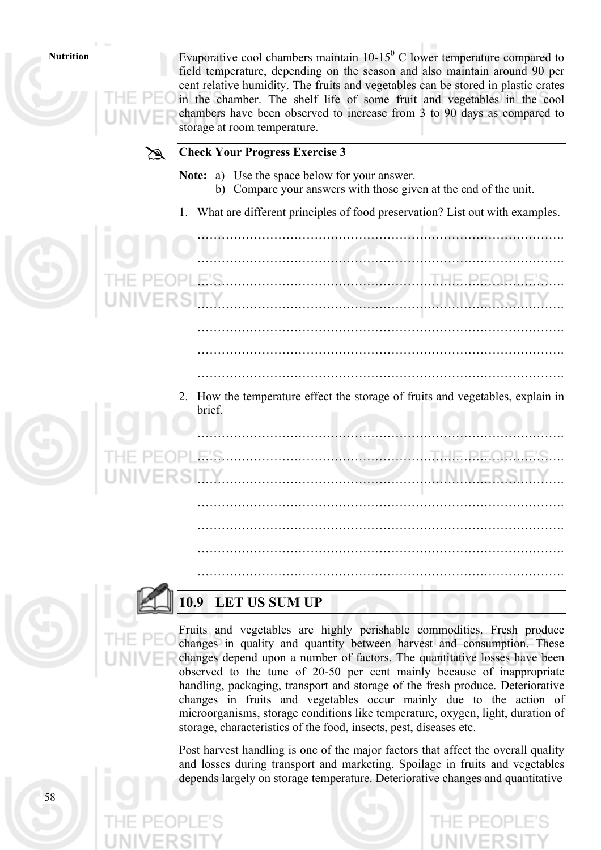58

Nutrition Evaporative cool chambers maintain  $10-15^{\circ}$  C lower temperature compared to field temperature, depending on the season and also maintain around 90 per cent relative humidity. The fruits and vegetables can be stored in plastic crates in the chamber. The shelf life of some fruit and vegetables in the cool chambers have been observed to increase from 3 to 90 days as compared to storage at room temperature.



# # **Check Your Progress Exercise 3**

- **Note:** a) Use the space below for your answer.
	- b) Compare your answers with those given at the end of the unit.
- 1. What are different principles of food preservation? List out with examples.



# **10.9 LET US SUM UP**

Fruits and vegetables are highly perishable commodities. Fresh produce changes in quality and quantity between harvest and consumption. These changes depend upon a number of factors. The quantitative losses have been observed to the tune of 20-50 per cent mainly because of inappropriate handling, packaging, transport and storage of the fresh produce. Deteriorative changes in fruits and vegetables occur mainly due to the action of microorganisms, storage conditions like temperature, oxygen, light, duration of storage, characteristics of the food, insects, pest, diseases etc.

Post harvest handling is one of the major factors that affect the overall quality and losses during transport and marketing. Spoilage in fruits and vegetables depends largely on storage temperature. Deteriorative changes and quantitative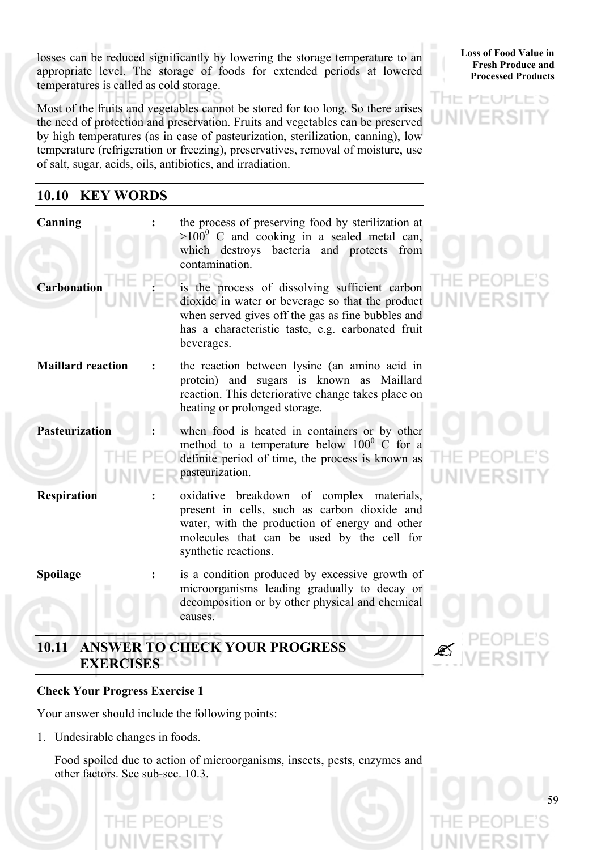losses can be reduced significantly by lowering the storage temperature to an appropriate level. The storage of foods for extended periods at lowered temperatures is called as cold storage.

Most of the fruits and vegetables cannot be stored for too long. So there arises the need of protection and preservation. Fruits and vegetables can be preserved by high temperatures (as in case of pasteurization, sterilization, canning), low temperature (refrigeration or freezing), preservatives, removal of moisture, use of salt, sugar, acids, oils, antibiotics, and irradiation.

# **10.10 KEY WORDS**

| Canning<br>Carbonation   | the process of preserving food by sterilization at<br>$>100^{\circ}$ C and cooking in a sealed metal can,<br>which destroys bacteria and protects from<br>contamination.<br>is the process of dissolving sufficient carbon<br>dioxide in water or beverage so that the product<br>when served gives off the gas as fine bubbles and<br>has a characteristic taste, e.g. carbonated fruit<br>beverages. |  |
|--------------------------|--------------------------------------------------------------------------------------------------------------------------------------------------------------------------------------------------------------------------------------------------------------------------------------------------------------------------------------------------------------------------------------------------------|--|
| <b>Maillard reaction</b> | the reaction between lysine (an amino acid in<br>protein) and sugars is known as Maillard<br>reaction. This deteriorative change takes place on<br>heating or prolonged storage.                                                                                                                                                                                                                       |  |
| <b>Pasteurization</b>    | when food is heated in containers or by other<br>method to a temperature below $100^{\circ}$ C for a<br>definite period of time, the process is known as<br>pasteurization.                                                                                                                                                                                                                            |  |
| <b>Respiration</b>       | oxidative breakdown of complex materials,<br>present in cells, such as carbon dioxide and<br>water, with the production of energy and other<br>molecules that can be used by the cell for<br>synthetic reactions.                                                                                                                                                                                      |  |
| Spoilage                 | is a condition produced by excessive growth of<br>microorganisms leading gradually to decay or<br>decomposition or by other physical and chemical<br>causes.                                                                                                                                                                                                                                           |  |

# **10.11 ANSWER TO CHECK YOUR PROGRESS EXERCISES**

# **Check Your Progress Exercise 1**

Your answer should include the following points:

1. Undesirable changes in foods.

Food spoiled due to action of microorganisms, insects, pests, enzymes and other factors. See sub-sec. 10.3.



**Loss of Food Value in Fresh Produce and Processed Products**

HE PEOPLE'S